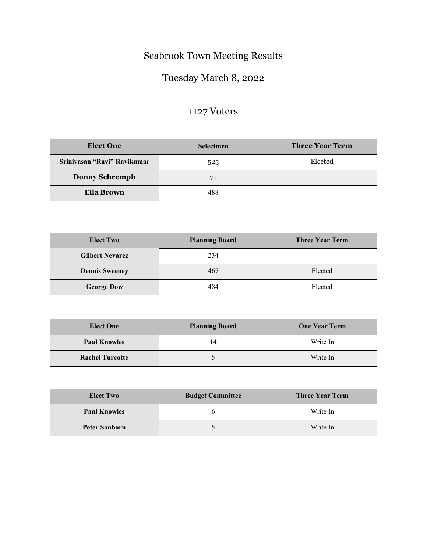## Seabrook Town Meeting Results

## Tuesday March 8, 2022

## 1127 Voters

| <b>Elect One</b>            | <b>Selectmen</b> | <b>Three Year Term</b> |
|-----------------------------|------------------|------------------------|
| Sriniyasan "Ravi" Ravikumar | 525              | Elected                |
| <b>Donny Schremph</b>       | 71               |                        |
| <b>Ella Brown</b>           | 488              |                        |

| <b>Elect Two</b>       | <b>Planning Board</b> | <b>Three Year Term</b> |  |
|------------------------|-----------------------|------------------------|--|
| <b>Gilbert Nevarez</b> | 234                   |                        |  |
| <b>Dennis Sweeney</b>  | 467                   | Elected                |  |
| <b>George Dow</b>      | 484                   | Elected                |  |

| <b>Planning Board</b><br><b>Elect One</b> |    | <b>One Year Term</b> |
|-------------------------------------------|----|----------------------|
| <b>Paul Knowles</b>                       | 14 | Write In             |
| <b>Rachel Turcotte</b>                    |    | Write In             |

| <b>Elect Two</b><br><b>Budget Committee</b> |          | <b>Three Year Term</b> |
|---------------------------------------------|----------|------------------------|
| <b>Paul Knowles</b>                         |          | Write In               |
| <b>Peter Sanborn</b>                        | Write In |                        |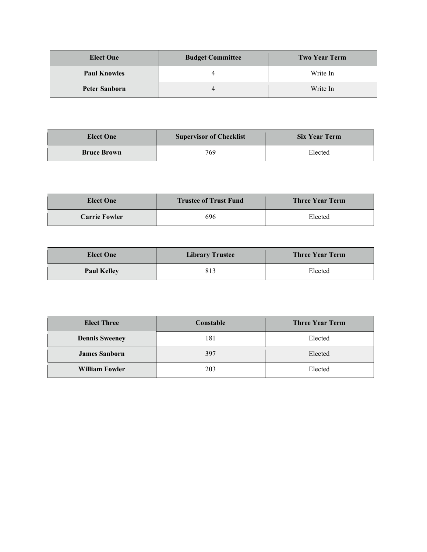| <b>Budget Committee</b><br><b>Elect One</b> |  | <b>Two Year Term</b> |
|---------------------------------------------|--|----------------------|
| <b>Paul Knowles</b>                         |  | Write In             |
| <b>Peter Sanborn</b>                        |  | Write In             |

| <b>Elect One</b>   | <b>Supervisor of Checklist</b> | <b>Six Year Term</b> |  |
|--------------------|--------------------------------|----------------------|--|
| <b>Bruce Brown</b> | 769                            | Elected              |  |

| <b>Elect One</b>     | <b>Trustee of Trust Fund</b> | <b>Three Year Term</b> |
|----------------------|------------------------------|------------------------|
| <b>Carrie Fowler</b> | 696                          | Elected                |

| <b>Elect One</b>   | <b>Library Trustee</b> | <b>Three Year Term</b> |
|--------------------|------------------------|------------------------|
| <b>Paul Kelley</b> |                        | Elected                |

| <b>Elect Three</b>    | Constable      | <b>Three Year Term</b> |
|-----------------------|----------------|------------------------|
| <b>Dennis Sweeney</b> | 181            | Elected                |
| <b>James Sanborn</b>  | Elected<br>397 |                        |
| <b>William Fowler</b> | 203            | Elected                |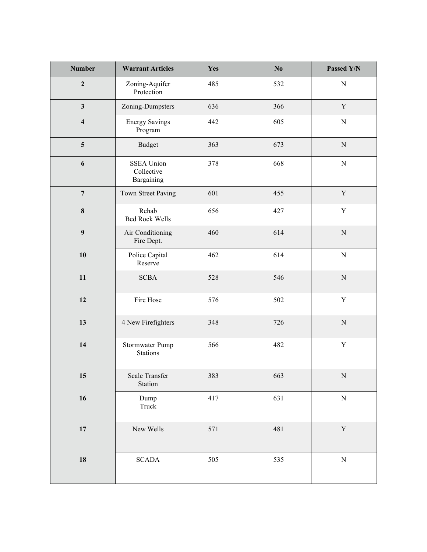| <b>Number</b>           | <b>Warrant Articles</b>                       | Yes | $\mathbf{N}\mathbf{0}$ | Passed Y/N  |
|-------------------------|-----------------------------------------------|-----|------------------------|-------------|
| $\overline{2}$          | Zoning-Aquifer<br>Protection                  | 485 | 532                    | ${\bf N}$   |
| $\mathbf{3}$            | Zoning-Dumpsters                              | 636 | 366                    | $\mathbf Y$ |
| $\overline{\mathbf{4}}$ | <b>Energy Savings</b><br>Program              | 442 | 605                    | ${\bf N}$   |
| $\overline{\mathbf{5}}$ | Budget                                        | 363 | 673                    | ${\bf N}$   |
| $\boldsymbol{6}$        | <b>SSEA Union</b><br>Collective<br>Bargaining | 378 | 668                    | ${\bf N}$   |
| $\overline{7}$          | Town Street Paving                            | 601 | 455                    | $\mathbf Y$ |
| $\bf{8}$                | Rehab<br>Bed Rock Wells                       | 656 | 427                    | $\mathbf Y$ |
| $\boldsymbol{9}$        | Air Conditioning<br>Fire Dept.                | 460 | 614                    | ${\bf N}$   |
| 10                      | Police Capital<br>Reserve                     | 462 | 614                    | ${\bf N}$   |
| 11                      | <b>SCBA</b>                                   | 528 | 546                    | ${\bf N}$   |
| 12                      | Fire Hose                                     | 576 | 502                    | $\mathbf Y$ |
| 13                      | 4 New Firefighters                            | 348 | 726                    | ${\bf N}$   |
| 14                      | Stormwater Pump<br><b>Stations</b>            | 566 | 482                    | $\mathbf Y$ |
| 15                      | $\blacksquare$<br>Scale Transfer<br>Station   | 383 | 663                    | N           |
| 16                      | Dump<br>Truck                                 | 417 | 631                    | ${\bf N}$   |
| $17\,$                  | New Wells                                     | 571 | 481                    | $\mathbf Y$ |
| ${\bf 18}$              | $\operatorname{SCADA}$                        | 505 | 535                    | ${\bf N}$   |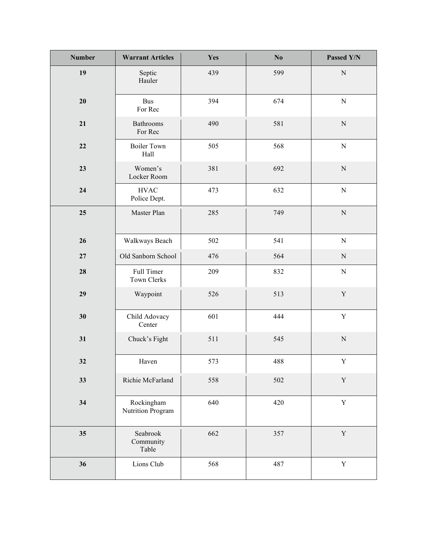| <b>Number</b> | <b>Warrant Articles</b>         | Yes | No  | Passed Y/N  |
|---------------|---------------------------------|-----|-----|-------------|
| 19            | Septic<br>Hauler                | 439 | 599 | ${\bf N}$   |
| 20            | <b>Bus</b><br>For Rec           | 394 | 674 | ${\bf N}$   |
| 21            | Bathrooms<br>For Rec            | 490 | 581 | ${\bf N}$   |
| $22\,$        | <b>Boiler Town</b><br>Hall      | 505 | 568 | ${\bf N}$   |
| 23            | Women's<br>Locker Room          | 381 | 692 | ${\bf N}$   |
| 24            | <b>HVAC</b><br>Police Dept.     | 473 | 632 | ${\bf N}$   |
| 25            | Master Plan                     | 285 | 749 | ${\bf N}$   |
| 26            | Walkways Beach                  | 502 | 541 | ${\bf N}$   |
| $27\,$        | Old Sanborn School              | 476 | 564 | ${\bf N}$   |
| 28            | Full Timer<br>Town Clerks       | 209 | 832 | ${\bf N}$   |
| 29            | Waypoint                        | 526 | 513 | $\mathbf Y$ |
| 30            | Child Adovacy<br>Center         | 601 | 444 | $\mathbf Y$ |
| 31            | Chuck's Fight                   | 511 | 545 | ${\bf N}$   |
| 32            | Haven                           | 573 | 488 | Y           |
| 33            | Richie McFarland                | 558 | 502 | $\mathbf Y$ |
| 34            | Rockingham<br>Nutrition Program | 640 | 420 | $\mathbf Y$ |
| 35            | Seabrook<br>Community<br>Table  | 662 | 357 | $\mathbf Y$ |
| 36            | Lions Club                      | 568 | 487 | $\mathbf Y$ |